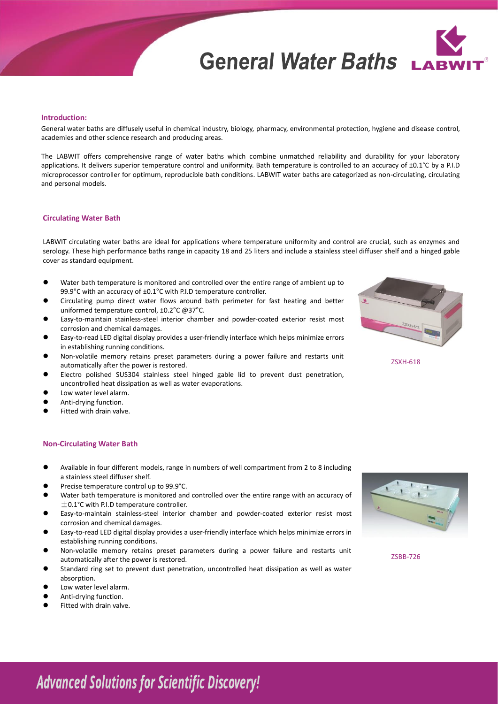# **General Water Baths**



### **Introduction:**

General water baths are diffusely useful in chemical industry, biology, pharmacy, environmental protection, hygiene and disease control, academies and other science research and producing areas.

The LABWIT offers comprehensive range of water baths which combine unmatched reliability and durability for your laboratory applications. It delivers superior temperature control and uniformity. Bath temperature is controlled to an accuracy of ±0.1°C by a P.I.D microprocessor controller for optimum, reproducible bath conditions. LABWIT water baths are categorized as non-circulating, circulating and personal models.

### **Circulating Water Bath**

LABWIT circulating water baths are ideal for applications where temperature uniformity and control are crucial, such as enzymes and serology. These high performance baths range in capacity 18 and 25 liters and include a stainless steel diffuser shelf and a hinged gable cover as standard equipment.

- ⚫ Water bath temperature is monitored and controlled over the entire range of ambient up to 99.9°C with an accuracy of ±0.1°C with P.I.D temperature controller.
- ⚫ Circulating pump direct water flows around bath perimeter for fast heating and better uniformed temperature control, ±0.2°C @37°C.
- ⚫ Easy-to-maintain stainless-steel interior chamber and powder-coated exterior resist most corrosion and chemical damages.
- ⚫ Easy-to-read LED digital display provides a user-friendly interface which helps minimize errors in establishing running conditions.
- ⚫ Non-volatile memory retains preset parameters during a power failure and restarts unit automatically after the power is restored.
- ⚫ Electro polished SUS304 stainless steel hinged gable lid to prevent dust penetration, uncontrolled heat dissipation as well as water evaporations.
- Low water level alarm.
- ⚫ Anti-drying function.
- ⚫ Fitted with drain valve.

### **Non-Circulating Water Bath**

- ⚫ Available in four different models, range in numbers of well compartment from 2 to 8 including a stainless steel diffuser shelf.
- ⚫ Precise temperature control up to 99.9°C.
- Water bath temperature is monitored and controlled over the entire range with an accuracy of  $\pm$  0.1°C with P.I.D temperature controller.
- ⚫ Easy-to-maintain stainless-steel interior chamber and powder-coated exterior resist most corrosion and chemical damages.
- ⚫ Easy-to-read LED digital display provides a user-friendly interface which helps minimize errors in establishing running conditions.
- ⚫ Non-volatile memory retains preset parameters during a power failure and restarts unit automatically after the power is restored.
- ⚫ Standard ring set to prevent dust penetration, uncontrolled heat dissipation as well as water absorption.
- Low water level alarm.
- ⚫ Anti-drying function.
- ⚫ Fitted with drain valve.





ZSBB-726

# **Advanced Solutions for Scientific Discovery!**